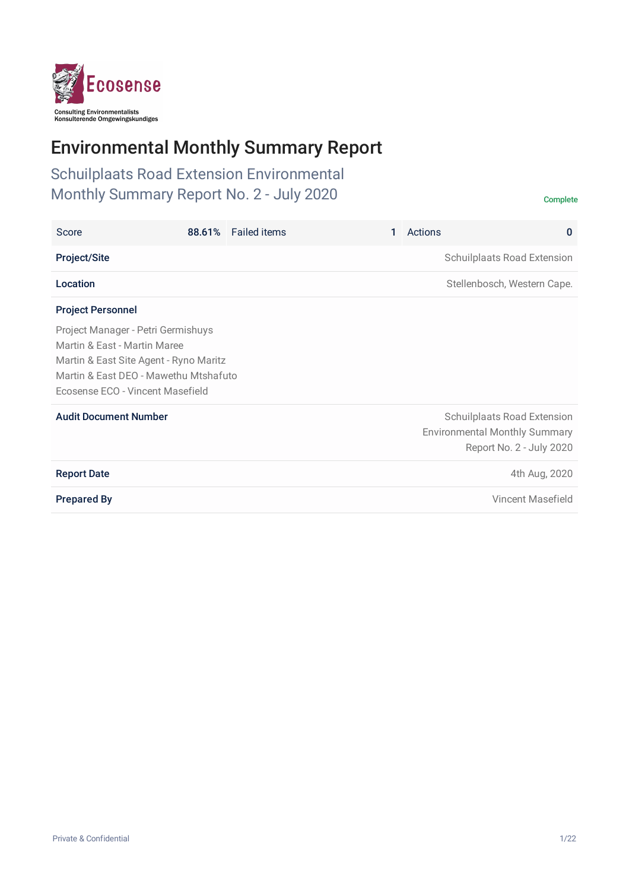

# Environmental Monthly Summary Report

Schuilplaats Road Extension Environmental Monthly Summary Report No. 2 - July 2020 Complete

| Score                                                                                                                                                                                     | 88.61% | <b>Failed items</b> | Actions<br>$\mathbf{0}$                                                                         |
|-------------------------------------------------------------------------------------------------------------------------------------------------------------------------------------------|--------|---------------------|-------------------------------------------------------------------------------------------------|
| <b>Project/Site</b>                                                                                                                                                                       |        |                     | Schuilplaats Road Extension                                                                     |
| Location                                                                                                                                                                                  |        |                     | Stellenbosch, Western Cape.                                                                     |
| <b>Project Personnel</b>                                                                                                                                                                  |        |                     |                                                                                                 |
| Project Manager - Petri Germishuys<br>Martin & East - Martin Maree<br>Martin & East Site Agent - Ryno Maritz<br>Martin & East DEO - Mawethu Mtshafuto<br>Ecosense ECO - Vincent Masefield |        |                     |                                                                                                 |
| <b>Audit Document Number</b>                                                                                                                                                              |        |                     | Schuilplaats Road Extension<br><b>Environmental Monthly Summary</b><br>Report No. 2 - July 2020 |
| <b>Report Date</b>                                                                                                                                                                        |        |                     | 4th Aug, 2020                                                                                   |
| <b>Prepared By</b>                                                                                                                                                                        |        |                     | Vincent Masefield                                                                               |
|                                                                                                                                                                                           |        |                     |                                                                                                 |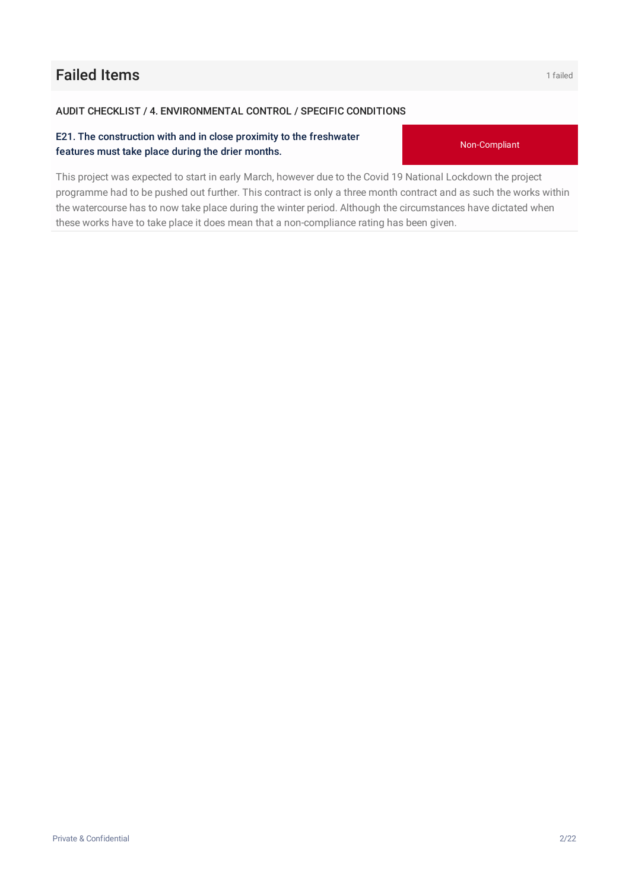# **Failed Items 1 failed 160 and 1 failed**

#### AUDIT CHECKLIST / 4. ENVIRONMENTAL CONTROL / SPECIFIC CONDITIONS

#### E21. The construction with and in close proximity to the freshwater features must take place during the drier months.

This project was expected to start in early March, however due to the Covid 19 National Lockdown the project programme had to be pushed out further. This contract is only a three month contract and as such the works within the watercourse has to now take place during the winter period. Although the circumstances have dictated when these works have to take place it does mean that a non-compliance rating has been given.

Private & Confidential 2/22

Non-Compliant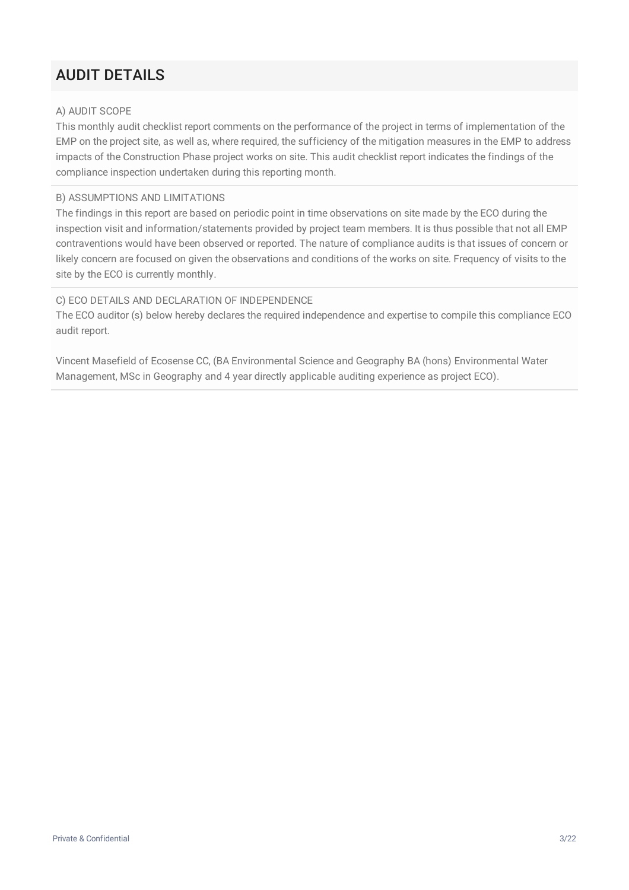# AUDIT DETAILS

#### A) AUDIT SCOPE

This monthly audit checklist report comments on the performance of the project in terms of implementation of the EMP on the project site, as well as, where required, the sufficiency of the mitigation measures in the EMP to address impacts of the Construction Phase project works on site. This audit checklist report indicates the findings of the compliance inspection undertaken during this reporting month.

#### B) ASSUMPTIONS AND LIMITATIONS

The findings in this report are based on periodic point in time observations on site made by the ECO during the inspection visit and information/statements provided by project team members. It is thus possible that not all EMP contraventions would have been observed or reported. The nature of compliance audits is that issues of concern or likely concern are focused on given the observations and conditions of the works on site. Frequency of visits to the site by the ECO is currently monthly.

#### C) ECO DETAILS AND DECLARATION OF INDEPENDENCE

The ECO auditor (s) below hereby declares the required independence and expertise to compile this compliance ECO audit report.

Vincent Masefield of Ecosense CC, (BA Environmental Science and Geography BA (hons) Environmental Water Management, MSc in Geography and 4 year directly applicable auditing experience as project ECO).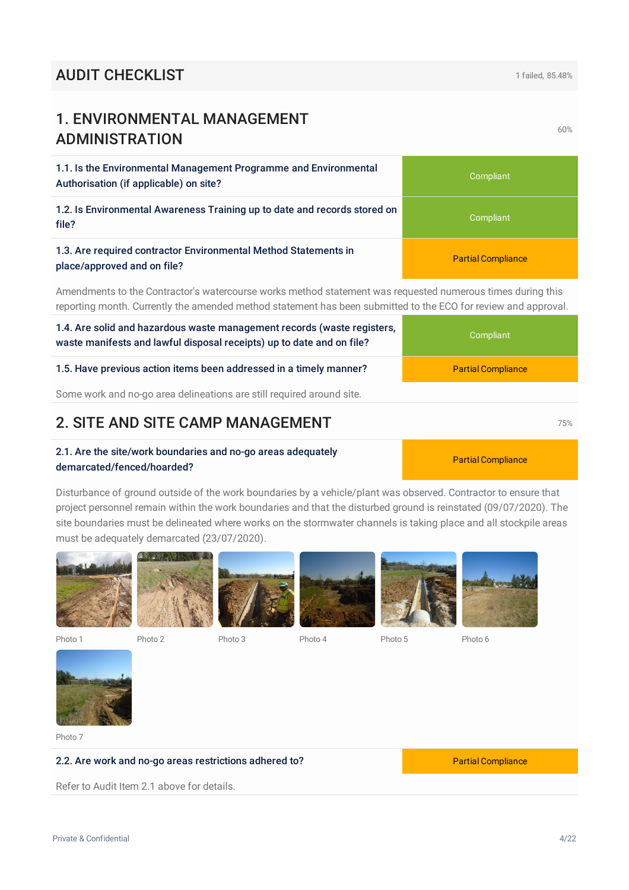Some work and no-go area delineations are still required around site.

### **2. SITE AND SITE CAMP MANAGEMENT 12.8 CONVERTS** 75%

#### 2.1. Are the site/work boundaries and no-go areas adequately demarcated/fenced/hoarded?

Disturbance of ground outside of the work boundaries by a vehicle/plant was observed. Contractor to ensure that project personnel remain within the work boundaries and that the disturbed ground is reinstated (09/07/2020). The site boundaries must be delineated where works on the stormwater channels is taking place and all stockpile areas must be adequately demarcated (23/07/2020).





Photo 7

#### 2.2. Are work and no-go areas restrictions adhered to? Partial Compliance

Refer to Audit Item 2.1 above for details.

1.1. Is the Environmental Management Programme and Environmental

1. ENVIRONMENTAL MANAGEMENT

ADMINISTRATION

| Authorisation (if applicable) on site?                                                         | Compliant                 |
|------------------------------------------------------------------------------------------------|---------------------------|
| 1.2. Is Environmental Awareness Training up to date and records stored on<br>file?             | Compliant                 |
| 1.3. Are required contractor Environmental Method Statements in<br>place/approved and on file? | <b>Partial Compliance</b> |

Amendments to the Contractor's watercourse works method statement was requested numerous times during this reporting month. Currently the amended method statement has been submitted to the ECO for review and approval.

### 1.4. Are solid and hazardous waste management records (waste registers, waste manifests and lawful disposal receipts) up to date and on file?

# 1.5. Have previous action items been addressed in a timely manner? Partial Compliance





Compliant

Partial Compliance

60%

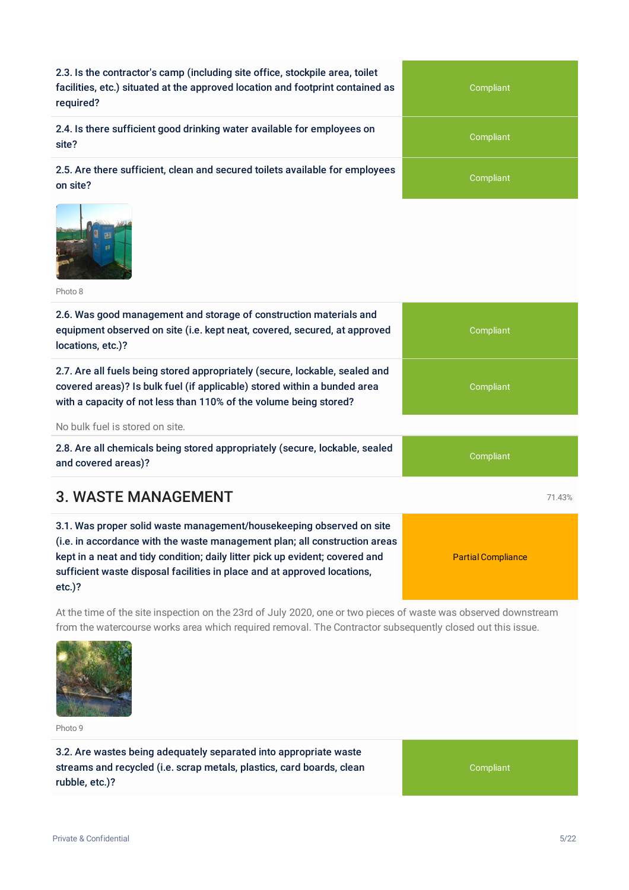2.3. Is the contractor's camp (including site office, stockpile area, toilet facilities, etc.) situated at the approved location and footprint contained as required?

2.4. Is there sufficient good drinking water available for employees on site?

2.5. Are there sufficient, clean and secured toilets available for employees on site?



Photo 8

| 2.6. Was good management and storage of construction materials and<br>equipment observed on site (i.e. kept neat, covered, secured, at approved<br>locations, etc.)?                                                                                                                                                        | Compliant                 |
|-----------------------------------------------------------------------------------------------------------------------------------------------------------------------------------------------------------------------------------------------------------------------------------------------------------------------------|---------------------------|
| 2.7. Are all fuels being stored appropriately (secure, lockable, sealed and<br>covered areas)? Is bulk fuel (if applicable) stored within a bunded area<br>with a capacity of not less than 110% of the volume being stored?                                                                                                | Compliant                 |
| No bulk fuel is stored on site.                                                                                                                                                                                                                                                                                             |                           |
| 2.8. Are all chemicals being stored appropriately (secure, lockable, sealed<br>and covered areas)?                                                                                                                                                                                                                          | Compliant                 |
| 3. WASTE MANAGEMENT                                                                                                                                                                                                                                                                                                         | 71.43%                    |
| 3.1. Was proper solid waste management/housekeeping observed on site<br>(i.e. in accordance with the waste management plan; all construction areas<br>kept in a neat and tidy condition; daily litter pick up evident; covered and<br>sufficient waste disposal facilities in place and at approved locations,<br>$etc.$ )? | <b>Partial Compliance</b> |

At the time of the site inspection on the 23rd of July 2020, one or two pieces of waste was observed downstream from the watercourse works area which required removal. The Contractor subsequently closed out this issue.



Photo 9

3.2. Are wastes being adequately separated into appropriate waste streams and recycled (i.e. scrap metals, plastics, card boards, clean rubble, etc.)?

Compliant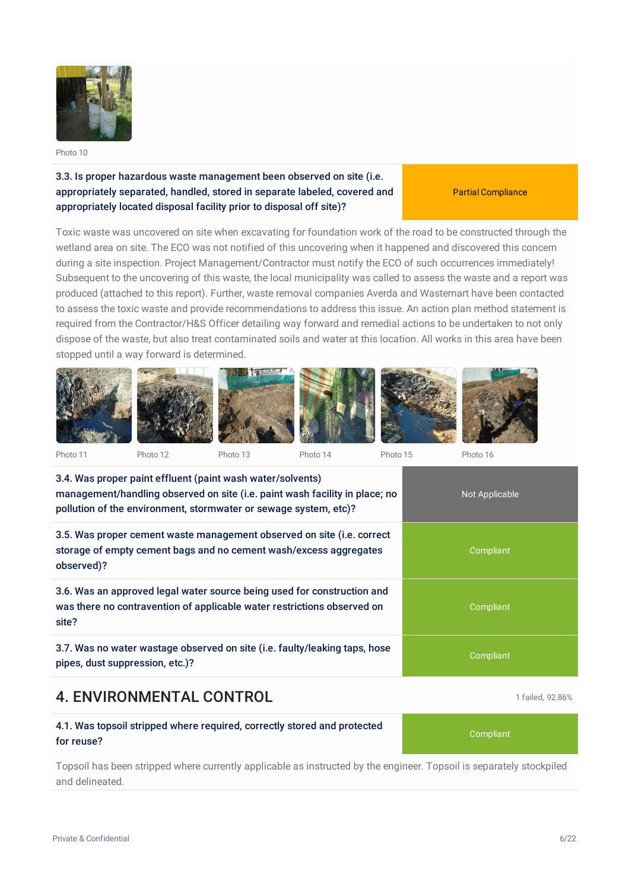

#### 3.3. Is proper hazardous waste management been observed on site (i.e. appropriately separated, handled, stored in separate labeled, covered and appropriately located disposal facility prior to disposal off site)?

Partial Compliance

Toxic waste was uncovered on site when excavating for foundation work of the road to be constructed through the wetland area on site. The ECO was not notified of this uncovering when it happened and discovered this concern during a site inspection. Project Management/Contractor must notify the ECO of such occurrences immediately! Subsequent to the uncovering of this waste, the local municipality was called to assess the waste and a report was produced (attached to this report). Further, waste removal companies Averda and Wastemart have been contacted to assess the toxic waste and provide recommendations to address this issue. An action plan method statement is required from the Contractor/H&S Officer detailing way forward and remedial actions to be undertaken to not only dispose of the waste, but also treat contaminated soils and water at this location. All works in this area have been stopped until a way forward is determined.



3.4. Was proper paint effluent (paint wash water/solvents) management/handling observed on site (i.e. paint wash facility in place; no pollution of the environment, stormwater or sewage system, etc)? Not Applicable 3.5. Was proper cement waste management observed on site (i.e. correct storage of empty cement bags and no cement wash/excess aggregates observed)? **Compliant** 

3.6. Was an approved legal water source being used for construction and was there no contravention of applicable water restrictions observed on site?

3.7. Was no water wastage observed on site (i.e. faulty/leaking taps, hose pipes, dust suppression, etc.)?

# **4. ENVIRONMENTAL CONTROL 1** failed, 92.86%

#### 4.1. Was topsoil stripped where required, correctly stored and protected for reuse?

Topsoil has been stripped where currently applicable as instructed by the engineer. Topsoil is separately stockpiled and delineated.

Compliant

**Compliant**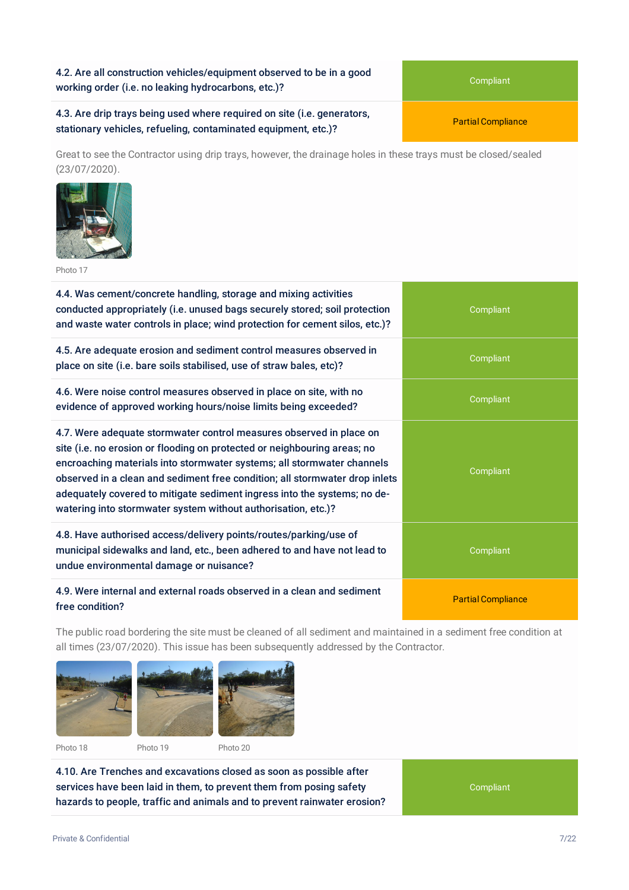4.2. Are all construction vehicles/equipment observed to be in a good working order (i.e. no leaking hydrocarbons, etc.)?

4.3. Are drip trays being used where required on site (i.e. generators, stationary vehicles, refueling, contaminated equipment, etc.)?

Great to see the Contractor using drip trays, however, the drainage holes in these trays must be closed/sealed (23/07/2020).



Photo 17

4.4. Was cement/concrete handling, storage and mixing activities conducted appropriately (i.e. unused bags securely stored; soil protection and waste water controls in place; wind protection for cement silos, etc.)?

4.5. Are adequate erosion and sediment control measures observed in place on site (i.e. bare soils stabilised, use of straw bales, etc)?

4.6. Were noise control measures observed in place on site, with no evidence of approved working hours/noise limits being exceeded?

4.7. Were adequate stormwater control measures observed in place on site (i.e. no erosion or flooding on protected or neighbouring areas; no encroaching materials into stormwater systems; all stormwater channels observed in a clean and sediment free condition; all stormwater drop inlets adequately covered to mitigate sediment ingress into the systems; no dewatering into stormwater system without authorisation, etc.)?

4.8. Have authorised access/delivery points/routes/parking/use of municipal sidewalks and land, etc., been adhered to and have not lead to undue environmental damage or nuisance?

#### 4.9. Were internal and external roads observed in a clean and sediment free condition?

The public road bordering the site must be cleaned of all sediment and maintained in a sediment free condition at all times (23/07/2020). This issue has been subsequently addressed by the Contractor.



4.10. Are Trenches and excavations closed as soon as possible after services have been laid in them, to prevent them from posing safety hazards to people, traffic and animals and to prevent rainwater erosion?

Compliant



**Compliant** 

Partial Compliance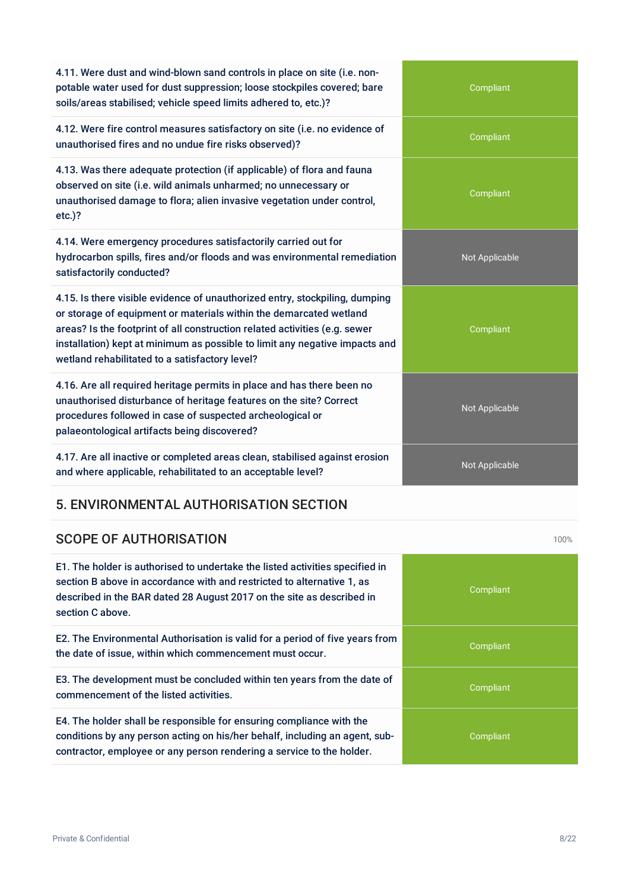| potable water used for dust suppression; loose stockpiles covered; bare<br>soils/areas stabilised; vehicle speed limits adhered to, etc.)?                                                                                                                                                                                                                       | Compliant      |
|------------------------------------------------------------------------------------------------------------------------------------------------------------------------------------------------------------------------------------------------------------------------------------------------------------------------------------------------------------------|----------------|
| 4.12. Were fire control measures satisfactory on site (i.e. no evidence of<br>unauthorised fires and no undue fire risks observed)?                                                                                                                                                                                                                              | Compliant      |
| 4.13. Was there adequate protection (if applicable) of flora and fauna<br>observed on site (i.e. wild animals unharmed; no unnecessary or<br>unauthorised damage to flora; alien invasive vegetation under control,<br>$etc.$ )?                                                                                                                                 | Compliant      |
| 4.14. Were emergency procedures satisfactorily carried out for<br>hydrocarbon spills, fires and/or floods and was environmental remediation<br>satisfactorily conducted?                                                                                                                                                                                         | Not Applicable |
| 4.15. Is there visible evidence of unauthorized entry, stockpiling, dumping<br>or storage of equipment or materials within the demarcated wetland<br>areas? Is the footprint of all construction related activities (e.g. sewer<br>installation) kept at minimum as possible to limit any negative impacts and<br>wetland rehabilitated to a satisfactory level? | Compliant      |
| 4.16. Are all required heritage permits in place and has there been no<br>unauthorised disturbance of heritage features on the site? Correct<br>procedures followed in case of suspected archeological or<br>palaeontological artifacts being discovered?                                                                                                        | Not Applicable |
| 4.17. Are all inactive or completed areas clean, stabilised against erosion<br>and where applicable, rehabilitated to an acceptable level?                                                                                                                                                                                                                       | Not Applicable |
| 5. ENVIRONMENTAL AUTHORISATION SECTION                                                                                                                                                                                                                                                                                                                           |                |
| <b>SCOPE OF AUTHORISATION</b>                                                                                                                                                                                                                                                                                                                                    | 100%           |
| E1. The holder is authorised to undertake the listed activities specified in<br>section B above in accordance with and restricted to alternative 1, as<br>described in the BAR dated 28 August 2017 on the site as described in<br>section C above.                                                                                                              | Compliant      |
| E2. The Environmental Authorisation is valid for a period of five years from<br>the date of issue, within which commencement must occur.                                                                                                                                                                                                                         | Compliant      |
| E3. The development must be concluded within ten years from the date of<br>commencement of the listed activities.                                                                                                                                                                                                                                                | Compliant      |

E4. The holder shall be responsible for ensuring compliance with the conditions by any person acting on his/her behalf, including an agent, subcontractor, employee or any person rendering a service to the holder.

4.11. Were dust and wind-blown sand controls in place on site (i.e. non-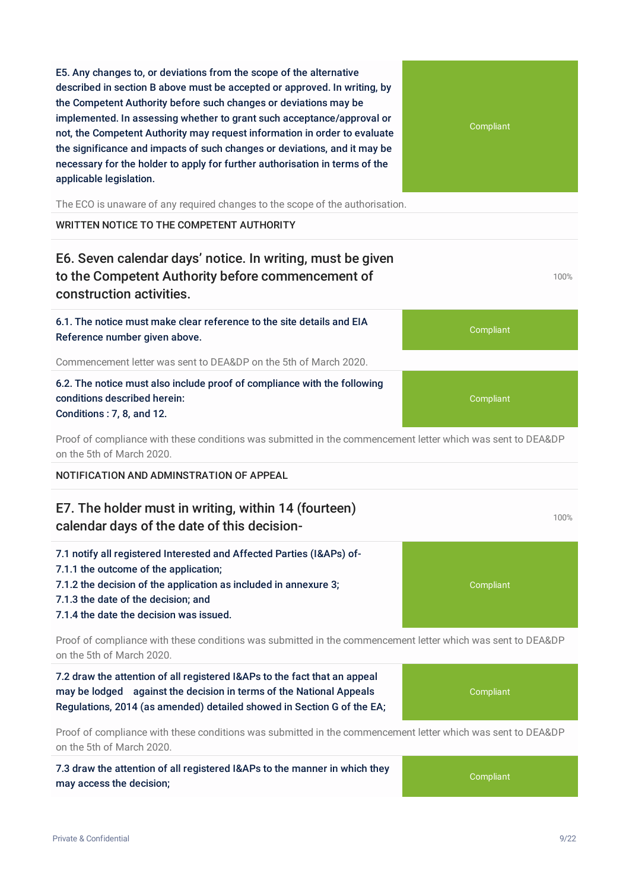E5. Any changes to, or deviations from the scope of the alternative described in section B above must be accepted or approved. In writing, by the Competent Authority before such changes or deviations may be implemented. In assessing whether to grant such acceptance/approval or not, the Competent Authority may request information in order to evaluate the significance and impacts of such changes or deviations, and it may be necessary for the holder to apply for further authorisation in terms of the applicable legislation.

The ECO is unaware of any required changes to the scope of the authorisation.

WRITTEN NOTICE TO THE COMPETENT AUTHORITY

### E6. Seven calendar days' notice. In writing, must be given to the Competent Authority before commencement of construction activities.

6.1. The notice must make clear reference to the site details and EIA Reference number given above.

Commencement letter was sent to DEA&DP on the 5th of March 2020.

6.2. The notice must also include proof of compliance with the following conditions described herein: Conditions : 7, 8, and 12.

Proof of compliance with these conditions was submitted in the commencement letter which was sent to DEA&DP on the 5th of March 2020.

NOTIFICATION AND ADMINSTRATION OF APPEAL

#### E7. The holder must in writing, within 14 (fourteen) calendar days of the date of this decision-

7.1 notify all registered Interested and Affected Parties (I&APs) of-7.1.1 the outcome of the application;

- 7.1.2 the decision of the application as included in annexure 3;
- 7.1.3 the date of the decision; and

7.1.4 the date the decision was issued.

Proof of compliance with these conditions was submitted in the commencement letter which was sent to DEA&DP on the 5th of March 2020.

7.2 draw the attention of all registered I&APs to the fact that an appeal may be lodged against the decision in terms of the National Appeals Regulations, 2014 (as amended) detailed showed in Section G of the EA;

Proof of compliance with these conditions was submitted in the commencement letter which was sent to DEA&DP on the 5th of March 2020.

7.3 draw the attention of all registered I&APs to the manner in which they may access the decision;

**Compliant** 



Compliant

Compliant

100%

100%

Compliant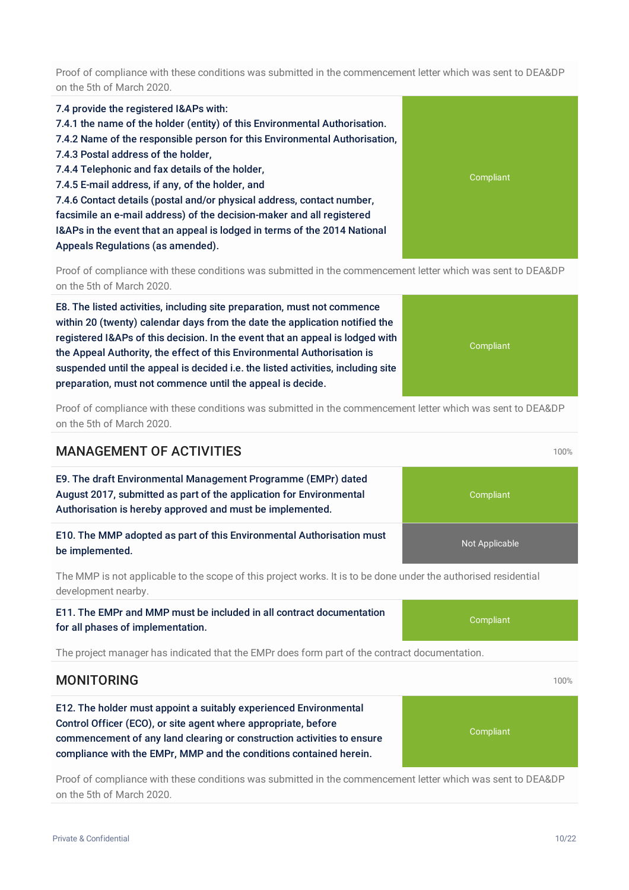Proof of compliance with these conditions was submitted in the commencement letter which was sent to DEA&DP on the 5th of March 2020.

7.4 provide the registered I&APs with: 7.4.1 the name of the holder (entity) of this Environmental Authorisation. 7.4.2 Name of the responsible person for this Environmental Authorisation, 7.4.3 Postal address of the holder, 7.4.4 Telephonic and fax details of the holder, 7.4.5 E-mail address, if any, of the holder, and 7.4.6 Contact details (postal and/or physical address, contact number, facsimile an e-mail address) of the decision-maker and all registered I&APs in the event that an appeal is lodged in terms of the 2014 National Appeals Regulations (as amended).

Proof of compliance with these conditions was submitted in the commencement letter which was sent to DEA&DP on the 5th of March 2020.

E8. The listed activities, including site preparation, must not commence within 20 (twenty) calendar days from the date the application notified the registered I&APs of this decision. In the event that an appeal is lodged with the Appeal Authority, the effect of this Environmental Authorisation is suspended until the appeal is decided i.e. the listed activities, including site preparation, must not commence until the appeal is decide.

Proof of compliance with these conditions was submitted in the commencement letter which was sent to DEA&DP on the 5th of March 2020.

#### **MANAGEMENT OF ACTIVITIES** 100% **100%**

E9. The draft Environmental Management Programme (EMPr) dated August 2017, submitted as part of the application for Environmental Authorisation is hereby approved and must be implemented.

E10. The MMP adopted as part of this Environmental Authorisation must be implemented.

The MMP is not applicable to the scope of this project works. It is to be done under the authorised residential development nearby.

E11. The EMPr and MMP must be included in all contract documentation for all phases of implementation.

The project manager has indicated that the EMPr does form part of the contract documentation.

#### **MONITORING** 100%

E12. The holder must appoint a suitably experienced Environmental Control Officer (ECO), or site agent where appropriate, before commencement of any land clearing or construction activities to ensure compliance with the EMPr, MMP and the conditions contained herein.

Proof of compliance with these conditions was submitted in the commencement letter which was sent to DEA&DP on the 5th of March 2020.

# Compliant

### **Compliant**

**Compliant** 

Not Applicable

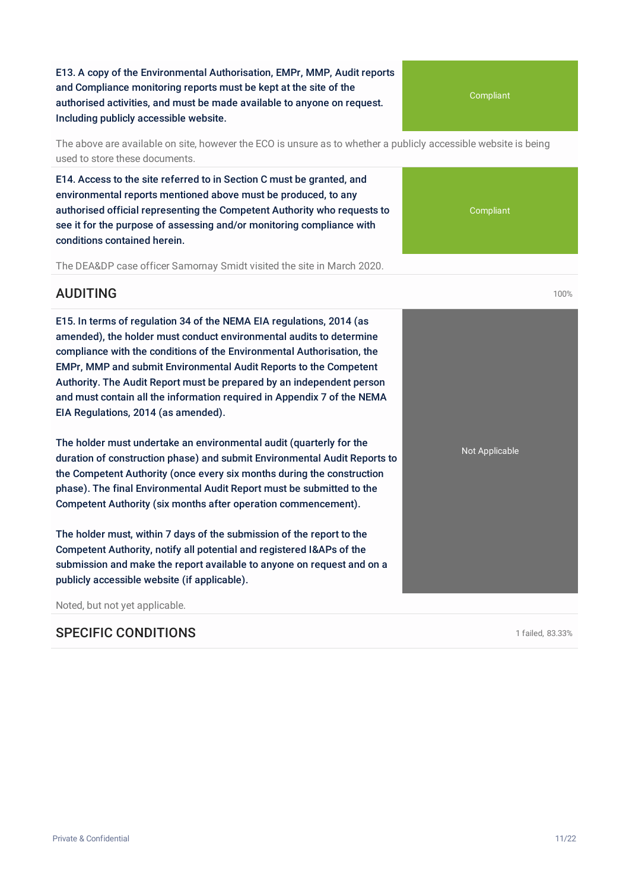E13. A copy of the Environmental Authorisation, EMPr, MMP, Audit reports and Compliance monitoring reports must be kept at the site of the authorised activities, and must be made available to anyone on request. Including publicly accessible website.

The above are available on site, however the ECO is unsure as to whether a publicly accessible website is being used to store these documents.

E14. Access to the site referred to in Section C must be granted, and environmental reports mentioned above must be produced, to any authorised official representing the Competent Authority who requests to see it for the purpose of assessing and/or monitoring compliance with conditions contained herein.

The DEA&DP case officer Samornay Smidt visited the site in March 2020.

#### AUDITING 100%

E15. In terms of regulation 34 of the NEMA EIA regulations, 2014 (as amended), the holder must conduct environmental audits to determine compliance with the conditions of the Environmental Authorisation, the EMPr, MMP and submit Environmental Audit Reports to the Competent Authority. The Audit Report must be prepared by an independent person and must contain all the information required in Appendix 7 of the NEMA EIA Regulations, 2014 (as amended).

The holder must undertake an environmental audit (quarterly for the duration of construction phase) and submit Environmental Audit Reports to the Competent Authority (once every six months during the construction phase). The final Environmental Audit Report must be submitted to the Competent Authority (six months after operation commencement).

The holder must, within 7 days of the submission of the report to the Competent Authority, notify all potential and registered I&APs of the submission and make the report available to anyone on request and on a publicly accessible website (if applicable).

Noted, but not yet applicable.

#### SPECIFIC CONDITIONS **SPECIFIC CONDITIONS 1 failed**, 83.33%

**Compliant** 

Compliant

Not Applicable

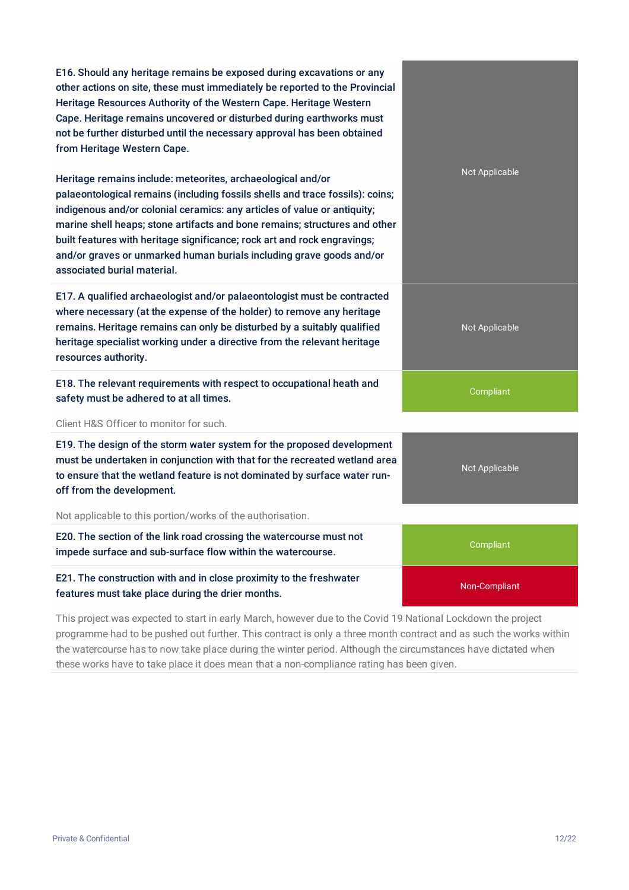| E16. Should any heritage remains be exposed during excavations or any<br>other actions on site, these must immediately be reported to the Provincial<br>Heritage Resources Authority of the Western Cape. Heritage Western<br>Cape. Heritage remains uncovered or disturbed during earthworks must<br>not be further disturbed until the necessary approval has been obtained<br>from Heritage Western Cape.                                                                              |                |
|-------------------------------------------------------------------------------------------------------------------------------------------------------------------------------------------------------------------------------------------------------------------------------------------------------------------------------------------------------------------------------------------------------------------------------------------------------------------------------------------|----------------|
| Heritage remains include: meteorites, archaeological and/or<br>palaeontological remains (including fossils shells and trace fossils): coins;<br>indigenous and/or colonial ceramics: any articles of value or antiquity;<br>marine shell heaps; stone artifacts and bone remains; structures and other<br>built features with heritage significance; rock art and rock engravings;<br>and/or graves or unmarked human burials including grave goods and/or<br>associated burial material. | Not Applicable |
| E17. A qualified archaeologist and/or palaeontologist must be contracted<br>where necessary (at the expense of the holder) to remove any heritage<br>remains. Heritage remains can only be disturbed by a suitably qualified<br>heritage specialist working under a directive from the relevant heritage<br>resources authority.                                                                                                                                                          | Not Applicable |
| E18. The relevant requirements with respect to occupational heath and<br>safety must be adhered to at all times.                                                                                                                                                                                                                                                                                                                                                                          | Compliant      |
| Client H&S Officer to monitor for such.                                                                                                                                                                                                                                                                                                                                                                                                                                                   |                |
| E19. The design of the storm water system for the proposed development<br>must be undertaken in conjunction with that for the recreated wetland area<br>to ensure that the wetland feature is not dominated by surface water run-<br>off from the development.                                                                                                                                                                                                                            | Not Applicable |
| Not applicable to this portion/works of the authorisation.                                                                                                                                                                                                                                                                                                                                                                                                                                |                |
| E20. The section of the link road crossing the watercourse must not<br>impede surface and sub-surface flow within the watercourse.                                                                                                                                                                                                                                                                                                                                                        | Compliant      |
| E21. The construction with and in close proximity to the freshwater<br>features must take place during the drier months.                                                                                                                                                                                                                                                                                                                                                                  | Non-Compliant  |

This project was expected to start in early March, however due to the Covid 19 National Lockdown the project programme had to be pushed out further. This contract is only a three month contract and as such the works within the watercourse has to now take place during the winter period. Although the circumstances have dictated when these works have to take place it does mean that a non-compliance rating has been given.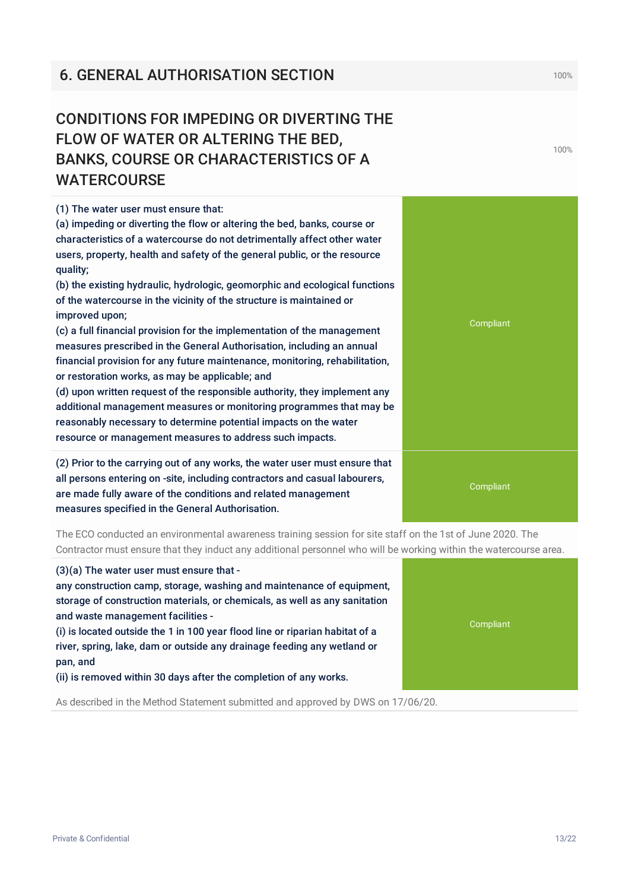# **6. GENERAL AUTHORISATION SECTION 100%** 100%

# CONDITIONS FOR IMPEDING OR DIVERTING THE BANKS, COURSE OR CHARACTERISTICS OF A

(1) The water user must ensure that: (a) impeding or diverting the flow or altering the bed, banks, course or characteristics of a watercourse do not detrimentally affect other water users, property, health and safety of the general public, or the resource quality; (b) the existing hydraulic, hydrologic, geomorphic and ecological functions of the watercourse in the vicinity of the structure is maintained or improved upon; (c) a full financial provision for the implementation of the management measures prescribed in the General Authorisation, including an annual financial provision for any future maintenance, monitoring, rehabilitation,

or restoration works, as may be applicable; and

(d) upon written request of the responsible authority, they implement any additional management measures or monitoring programmes that may be reasonably necessary to determine potential impacts on the water resource or management measures to address such impacts.

(2) Prior to the carrying out of any works, the water user must ensure that all persons entering on -site, including contractors and casual labourers, are made fully aware of the conditions and related management measures specified in the General Authorisation.

The ECO conducted an environmental awareness training session for site staff on the 1st of June 2020. The Contractor must ensure that they induct any additional personnel who will be working within the watercourse area.

(3)(a) The water user must ensure that -

any construction camp, storage, washing and maintenance of equipment, storage of construction materials, or chemicals, as well as any sanitation and waste management facilities -

(i) is located outside the 1 in 100 year flood line or riparian habitat of a river, spring, lake, dam or outside any drainage feeding any wetland or pan, and

(ii) is removed within 30 days after the completion of any works.

As described in the Method Statement submitted and approved by DWS on 17/06/20.





FLOW OF WATER OR ALTERING THE BED, WATERCOURSE

Private & Confidential 13/22

100%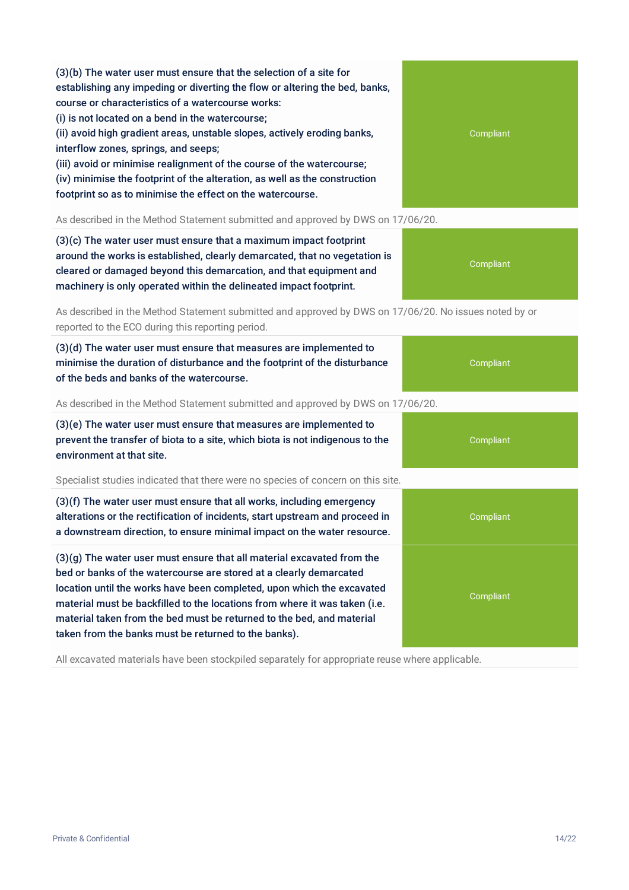(3)(b) The water user must ensure that the selection of a site for establishing any impeding or diverting the flow or altering the bed, banks, course or characteristics of a watercourse works: (i) is not located on a bend in the watercourse; (ii) avoid high gradient areas, unstable slopes, actively eroding banks,

interflow zones, springs, and seeps;

(iii) avoid or minimise realignment of the course of the watercourse; (iv) minimise the footprint of the alteration, as well as the construction footprint so as to minimise the effect on the watercourse.

As described in the Method Statement submitted and approved by DWS on 17/06/20.

(3)(c) The water user must ensure that a maximum impact footprint around the works is established, clearly demarcated, that no vegetation is cleared or damaged beyond this demarcation, and that equipment and machinery is only operated within the delineated impact footprint.

As described in the Method Statement submitted and approved by DWS on 17/06/20. No issues noted by or reported to the ECO during this reporting period.

(3)(d) The water user must ensure that measures are implemented to minimise the duration of disturbance and the footprint of the disturbance of the beds and banks of the watercourse.

As described in the Method Statement submitted and approved by DWS on 17/06/20.

(3)(e) The water user must ensure that measures are implemented to prevent the transfer of biota to a site, which biota is not indigenous to the environment at that site.

Specialist studies indicated that there were no species of concern on this site.

(3)(f) The water user must ensure that all works, including emergency alterations or the rectification of incidents, start upstream and proceed in a downstream direction, to ensure minimal impact on the water resource.

(3)(g) The water user must ensure that all material excavated from the bed or banks of the watercourse are stored at a clearly demarcated location until the works have been completed, upon which the excavated material must be backfilled to the locations from where it was taken (i.e. material taken from the bed must be returned to the bed, and material taken from the banks must be returned to the banks).

All excavated materials have been stockpiled separately for appropriate reuse where applicable.



Compliant

Compliant

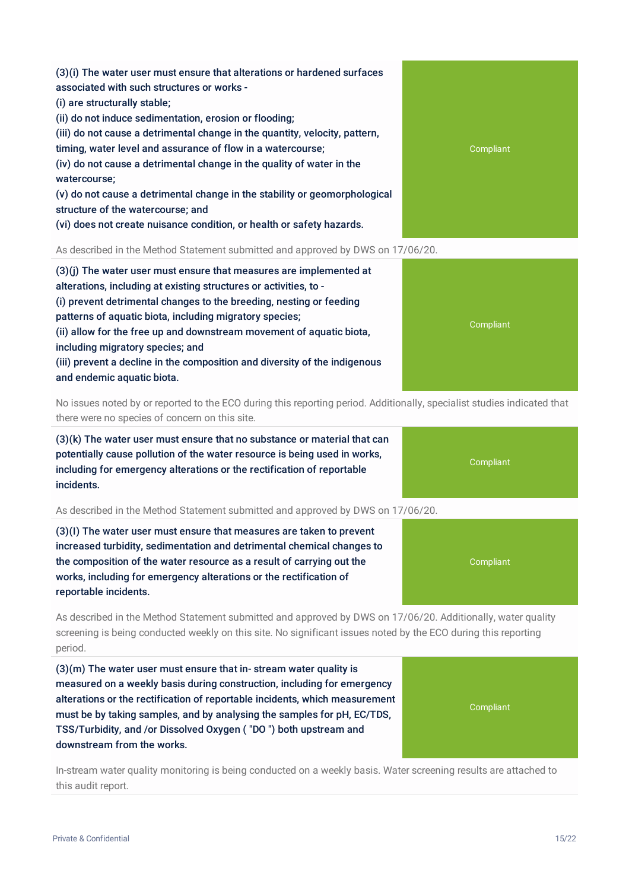(3)(i) The water user must ensure that alterations or hardened surfaces associated with such structures or works - (i) are structurally stable; (ii) do not induce sedimentation, erosion or flooding; (iii) do not cause a detrimental change in the quantity, velocity, pattern, timing, water level and assurance of flow in a watercourse;

(iv) do not cause a detrimental change in the quality of water in the watercourse;

(v) do not cause a detrimental change in the stability or geomorphological structure of the watercourse; and

(vi) does not create nuisance condition, or health or safety hazards.

As described in the Method Statement submitted and approved by DWS on 17/06/20.

(3)(j) The water user must ensure that measures are implemented at alterations, including at existing structures or activities, to - (i) prevent detrimental changes to the breeding, nesting or feeding patterns of aquatic biota, including migratory species; (ii) allow for the free up and downstream movement of aquatic biota, including migratory species; and (iii) prevent a decline in the composition and diversity of the indigenous and endemic aquatic biota.

No issues noted by or reported to the ECO during this reporting period. Additionally, specialist studies indicated that there were no species of concern on this site.

(3)(k) The water user must ensure that no substance or material that can potentially cause pollution of the water resource is being used in works, including for emergency alterations or the rectification of reportable incidents.

As described in the Method Statement submitted and approved by DWS on 17/06/20.

(3)(I) The water user must ensure that measures are taken to prevent increased turbidity, sedimentation and detrimental chemical changes to the composition of the water resource as a result of carrying out the works, including for emergency alterations or the rectification of reportable incidents.

As described in the Method Statement submitted and approved by DWS on 17/06/20. Additionally, water quality screening is being conducted weekly on this site. No significant issues noted by the ECO during this reporting period.

(3)(m) The water user must ensure that in- stream water quality is measured on a weekly basis during construction, including for emergency alterations or the rectification of reportable incidents, which measurement must be by taking samples, and by analysing the samples for pH, EC/TDS, TSS/Turbidity, and /or Dissolved Oxygen ( "DO ") both upstream and downstream from the works.

In-stream water quality monitoring is being conducted on a weekly basis. Water screening results are attached to this audit report.







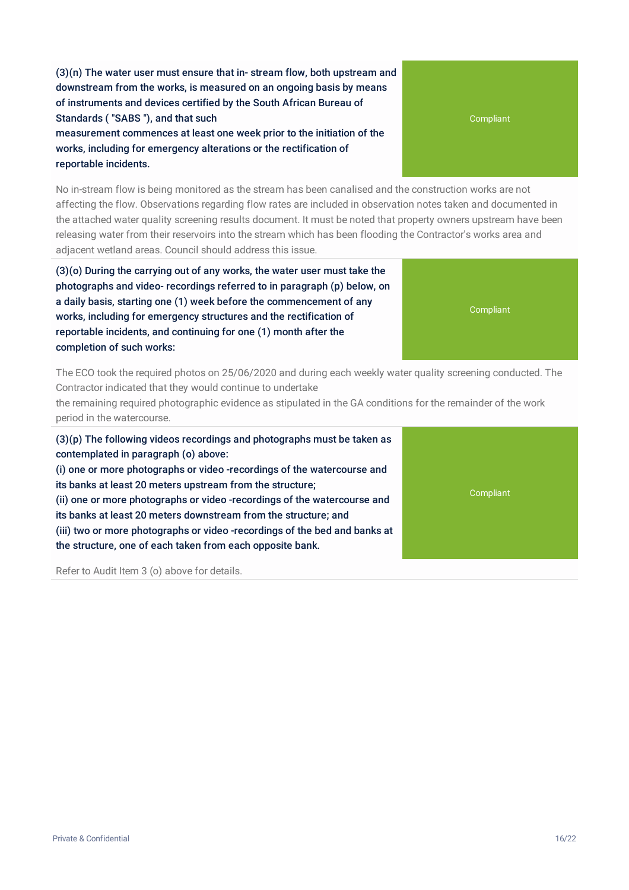(3)(n) The water user must ensure that in- stream flow, both upstream and downstream from the works, is measured on an ongoing basis by means of instruments and devices certified by the South African Bureau of Standards ( "SABS "), and that such measurement commences at least one week prior to the initiation of the

works, including for emergency alterations or the rectification of reportable incidents.

No in-stream flow is being monitored as the stream has been canalised and the construction works are not affecting the flow. Observations regarding flow rates are included in observation notes taken and documented in the attached water quality screening results document. It must be noted that property owners upstream have been releasing water from their reservoirs into the stream which has been flooding the Contractor's works area and adjacent wetland areas. Council should address this issue.

(3)(o) During the carrying out of any works, the water user must take the photographs and video- recordings referred to in paragraph (p) below, on a daily basis, starting one (1) week before the commencement of any works, including for emergency structures and the rectification of reportable incidents, and continuing for one (1) month after the completion of such works:

The ECO took the required photos on 25/06/2020 and during each weekly water quality screening conducted. The Contractor indicated that they would continue to undertake

the remaining required photographic evidence as stipulated in the GA conditions for the remainder of the work period in the watercourse.

(3)(p) The following videos recordings and photographs must be taken as contemplated in paragraph (o) above:

(i) one or more photographs or video -recordings of the watercourse and its banks at least 20 meters upstream from the structure; (ii) one or more photographs or video -recordings of the watercourse and

its banks at least 20 meters downstream from the structure; and

(iii) two or more photographs or video -recordings of the bed and banks at the structure, one of each taken from each opposite bank.

Refer to Audit Item 3 (o) above for details.

Compliant

Compliant

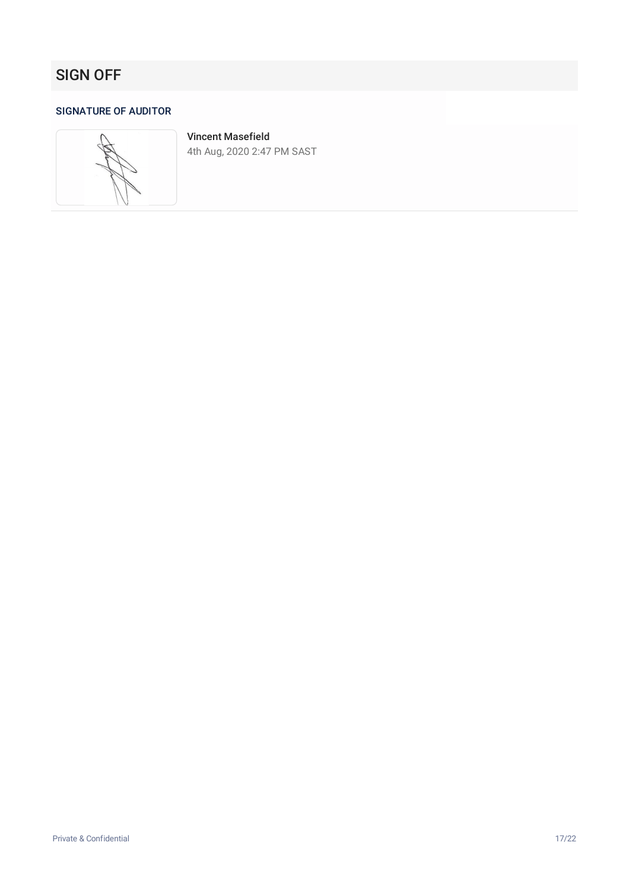# SIGN OFF

#### SIGNATURE OF AUDITOR



Vincent Masefield 4th Aug, 2020 2:47 PM SAST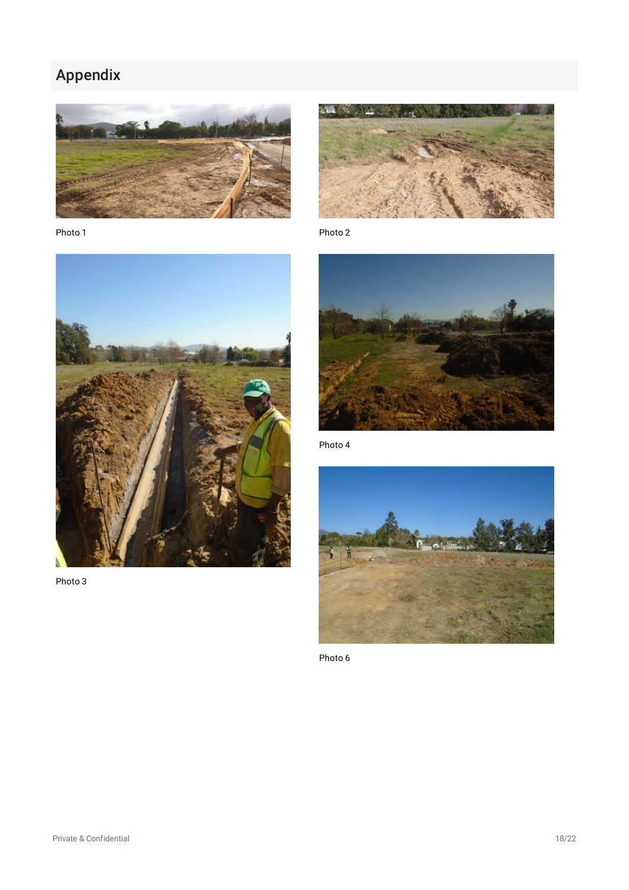# Appendix



Photo 1



Photo 2



Photo 4



Photo 6



Photo 3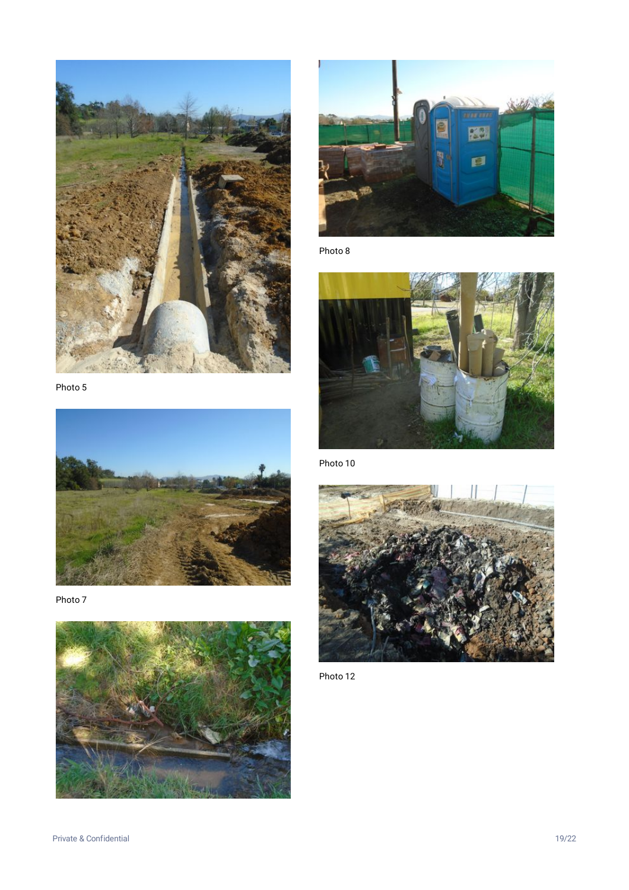

Photo 5



Photo 7





Photo 8



Photo 10



Photo 12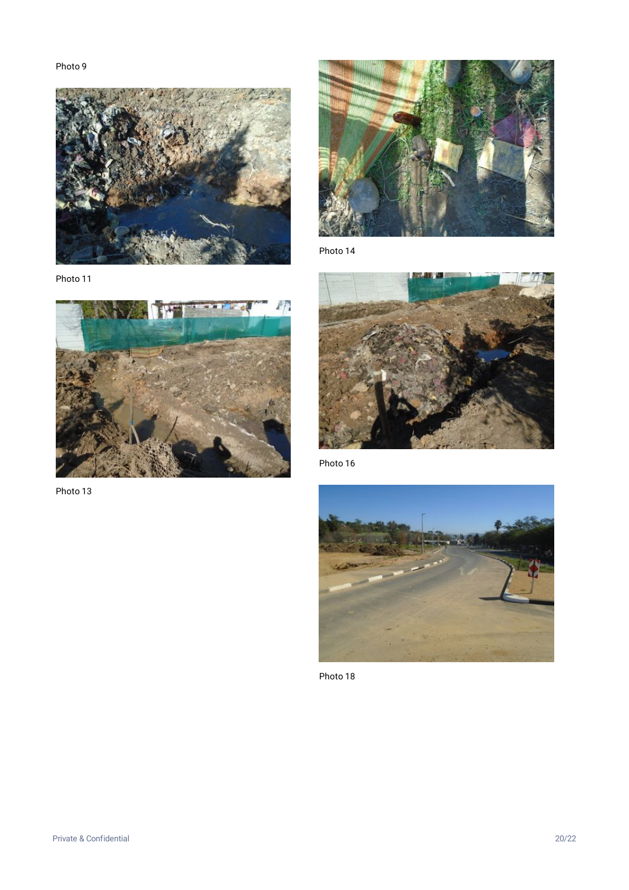

Photo 11



Photo 13



Photo 14



Photo 16



Photo 18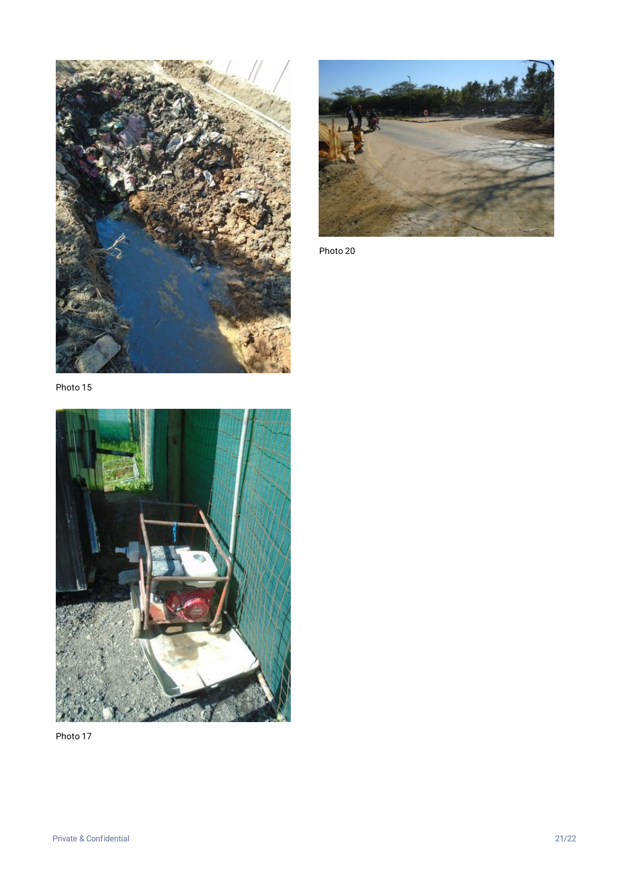



Photo 20

Photo 15